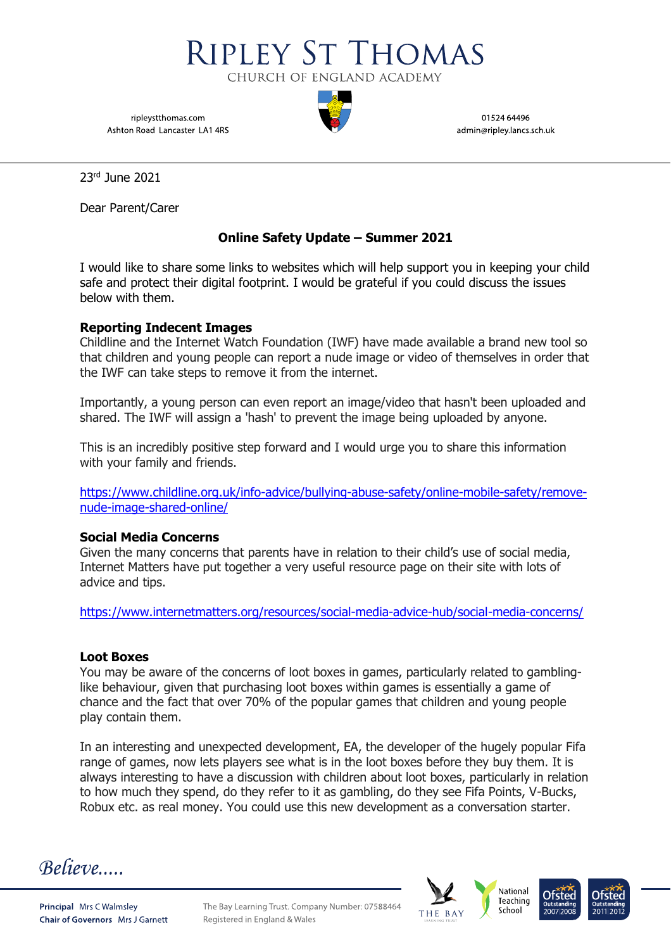

ripleystthomas.com Ashton Road Lancaster LA1 4RS

01524 64496 admin@ripley.lancs.sch.uk

23rd June 2021

Dear Parent/Carer

## **Online Safety Update – Summer 2021**

I would like to share some links to websites which will help support you in keeping your child safe and protect their digital footprint. I would be grateful if you could discuss the issues below with them.

## **Reporting Indecent Images**

Childline and the Internet Watch Foundation (IWF) have made available a brand new tool so that children and young people can report a nude image or video of themselves in order that the IWF can take steps to remove it from the internet.

Importantly, a young person can even report an image/video that hasn't been uploaded and shared. The IWF will assign a 'hash' to prevent the image being uploaded by anyone.

This is an incredibly positive step forward and I would urge you to share this information with your family and friends.

[https://www.childline.org.uk/info-advice/bullying-abuse-safety/online-mobile-safety/remove](https://www.childline.org.uk/info-advice/bullying-abuse-safety/online-mobile-safety/remove-nude-image-shared-online/)[nude-image-shared-online/](https://www.childline.org.uk/info-advice/bullying-abuse-safety/online-mobile-safety/remove-nude-image-shared-online/)

## **Social Media Concerns**

Given the many concerns that parents have in relation to their child's use of social media, Internet Matters have put together a very useful resource page on their site with lots of advice and tips.

<https://www.internetmatters.org/resources/social-media-advice-hub/social-media-concerns/>

## **Loot Boxes**

You may be aware of the concerns of loot boxes in games, particularly related to gamblinglike behaviour, given that purchasing loot boxes within games is essentially a game of chance and the fact that over 70% of the popular games that children and young people play contain them.

In an interesting and unexpected development, EA, the developer of the hugely popular Fifa range of games, now lets players see what is in the loot boxes before they buy them. It is always interesting to have a discussion with children about loot boxes, particularly in relation to how much they spend, do they refer to it as gambling, do they see Fifa Points, V-Bucks, Robux etc. as real money. You could use this new development as a conversation starter.

Believe....



The Bay Learning Trust. Company Number: 07588464 Registered in England & Wales